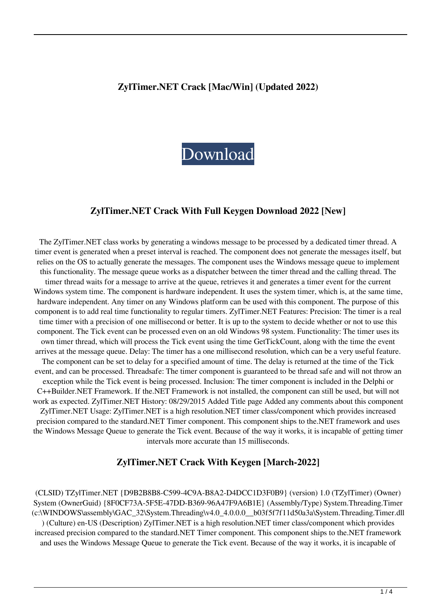### **ZylTimer.NET Crack [Mac/Win] (Updated 2022)**



### **ZylTimer.NET Crack With Full Keygen Download 2022 [New]**

The ZylTimer.NET class works by generating a windows message to be processed by a dedicated timer thread. A timer event is generated when a preset interval is reached. The component does not generate the messages itself, but relies on the OS to actually generate the messages. The component uses the Windows message queue to implement this functionality. The message queue works as a dispatcher between the timer thread and the calling thread. The timer thread waits for a message to arrive at the queue, retrieves it and generates a timer event for the current Windows system time. The component is hardware independent. It uses the system timer, which is, at the same time, hardware independent. Any timer on any Windows platform can be used with this component. The purpose of this component is to add real time functionality to regular timers. ZylTimer.NET Features: Precision: The timer is a real time timer with a precision of one millisecond or better. It is up to the system to decide whether or not to use this component. The Tick event can be processed even on an old Windows 98 system. Functionality: The timer uses its own timer thread, which will process the Tick event using the time GetTickCount, along with the time the event arrives at the message queue. Delay: The timer has a one millisecond resolution, which can be a very useful feature. The component can be set to delay for a specified amount of time. The delay is returned at the time of the Tick event, and can be processed. Threadsafe: The timer component is guaranteed to be thread safe and will not throw an exception while the Tick event is being processed. Inclusion: The timer component is included in the Delphi or C++Builder.NET Framework. If the.NET Framework is not installed, the component can still be used, but will not work as expected. ZylTimer.NET History: 08/29/2015 Added Title page Added any comments about this component ZylTimer.NET Usage: ZylTimer.NET is a high resolution.NET timer class/component which provides increased precision compared to the standard.NET Timer component. This component ships to the.NET framework and uses the Windows Message Queue to generate the Tick event. Because of the way it works, it is incapable of getting timer intervals more accurate than 15 milliseconds.

### **ZylTimer.NET Crack With Keygen [March-2022]**

(CLSID) TZylTimer.NET {D9B2B8B8-C599-4C9A-B8A2-D4DCC1D3F0B9} (version) 1.0 (TZylTimer) (Owner) System (OwnerGuid) {8F0CF73A-5F5E-47DD-B369-96A47F9A6B1E} (Assembly/Type) System.Threading.Timer (c:\WINDOWS\assembly\GAC\_32\System.Threading\v4.0\_4.0.0.0\_\_b03f5f7f11d50a3a\System.Threading.Timer.dll ) (Culture) en-US (Description) ZylTimer.NET is a high resolution.NET timer class/component which provides increased precision compared to the standard.NET Timer component. This component ships to the.NET framework and uses the Windows Message Queue to generate the Tick event. Because of the way it works, it is incapable of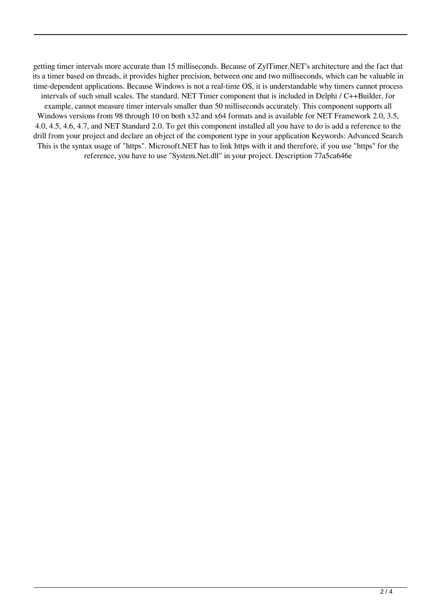getting timer intervals more accurate than 15 milliseconds. Because of ZylTimer.NET's architecture and the fact that its a timer based on threads, it provides higher precision, between one and two milliseconds, which can be valuable in time-dependent applications. Because Windows is not a real-time OS, it is understandable why timers cannot process intervals of such small scales. The standard. NET Timer component that is included in Delphi / C++Builder, for example, cannot measure timer intervals smaller than 50 milliseconds accurately. This component supports all Windows versions from 98 through 10 on both x32 and x64 formats and is available for NET Framework 2.0, 3.5, 4.0, 4.5, 4.6, 4.7, and NET Standard 2.0. To get this component installed all you have to do is add a reference to the drill from your project and declare an object of the component type in your application Keywords: Advanced Search This is the syntax usage of "https". Microsoft.NET has to link https with it and therefore, if you use "https" for the reference, you have to use "System.Net.dll" in your project. Description 77a5ca646e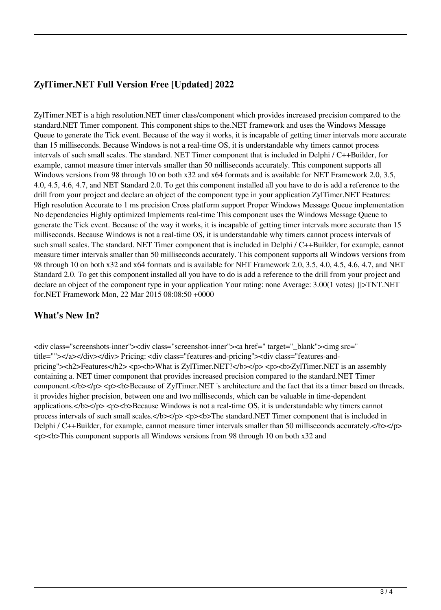# **ZylTimer.NET Full Version Free [Updated] 2022**

ZylTimer.NET is a high resolution.NET timer class/component which provides increased precision compared to the standard.NET Timer component. This component ships to the.NET framework and uses the Windows Message Queue to generate the Tick event. Because of the way it works, it is incapable of getting timer intervals more accurate than 15 milliseconds. Because Windows is not a real-time OS, it is understandable why timers cannot process intervals of such small scales. The standard. NET Timer component that is included in Delphi / C++Builder, for example, cannot measure timer intervals smaller than 50 milliseconds accurately. This component supports all Windows versions from 98 through 10 on both x32 and x64 formats and is available for NET Framework 2.0, 3.5, 4.0, 4.5, 4.6, 4.7, and NET Standard 2.0. To get this component installed all you have to do is add a reference to the drill from your project and declare an object of the component type in your application ZylTimer.NET Features: High resolution Accurate to 1 ms precision Cross platform support Proper Windows Message Queue implementation No dependencies Highly optimized Implements real-time This component uses the Windows Message Queue to generate the Tick event. Because of the way it works, it is incapable of getting timer intervals more accurate than 15 milliseconds. Because Windows is not a real-time OS, it is understandable why timers cannot process intervals of such small scales. The standard. NET Timer component that is included in Delphi / C++Builder, for example, cannot measure timer intervals smaller than 50 milliseconds accurately. This component supports all Windows versions from 98 through 10 on both x32 and x64 formats and is available for NET Framework 2.0, 3.5, 4.0, 4.5, 4.6, 4.7, and NET Standard 2.0. To get this component installed all you have to do is add a reference to the drill from your project and declare an object of the component type in your application Your rating: none Average: 3.00(1 votes) ]]>TNT.NET for.NET Framework Mon, 22 Mar 2015 08:08:50 +0000

## **What's New In?**

<div class="screenshots-inner"><div class="screenshot-inner"><a href=" target="\_blank"><img src=" title=""></a></div></div> Pricing: <div class="features-and-pricing"><div class="features-andpricing"><h2>Features</h2> <p><b>What is ZylTimer.NET?</b></p> <p><b>ZylTimer.NET is an assembly containing a. NET timer component that provides increased precision compared to the standard.NET Timer component.</b></p> <p>>b>Because of ZylTimer.NET 's architecture and the fact that its a timer based on threads, it provides higher precision, between one and two milliseconds, which can be valuable in time-dependent applications.</b></p><p>b>Because Windows is not a real-time OS, it is understandable why timers cannot process intervals of such small scales. $\langle$ b> $\langle$ p> $\langle$ p> $\langle$ p> $\langle$ b>The standard.NET Timer component that is included in Delphi / C++Builder, for example, cannot measure timer intervals smaller than 50 milliseconds accurately. $\langle$ /b> $\langle$ /p> <p><b>This component supports all Windows versions from 98 through 10 on both x32 and